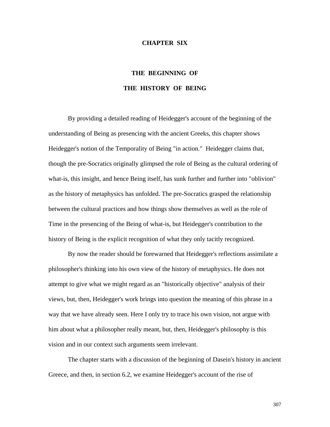#### **CHAPTER SIX**

# **THE BEGINNING OF THE HISTORY OF BEING**

 By providing a detailed reading of Heidegger's account of the beginning of the understanding of Being as presencing with the ancient Greeks, this chapter shows Heidegger's notion of the Temporality of Being "in action." Heidegger claims that, though the pre-Socratics originally glimpsed the role of Being as the cultural ordering of what-is, this insight, and hence Being itself, has sunk further and further into "oblivion" as the history of metaphysics has unfolded. The pre-Socratics grasped the relationship between the cultural practices and how things show themselves as well as the role of Time in the presencing of the Being of what-is, but Heidegger's contribution to the history of Being is the explicit recognition of what they only tacitly recognized.

 By now the reader should be forewarned that Heidegger's reflections assimilate a philosopher's thinking into his own view of the history of metaphysics. He does not attempt to give what we might regard as an "historically objective" analysis of their views, but, then, Heidegger's work brings into question the meaning of this phrase in a way that we have already seen. Here I only try to trace his own vision, not argue with him about what a philosopher really meant, but, then, Heidegger's philosophy is this vision and in our context such arguments seem irrelevant.

 The chapter starts with a discussion of the beginning of Dasein's history in ancient Greece, and then, in section 6.2, we examine Heidegger's account of the rise of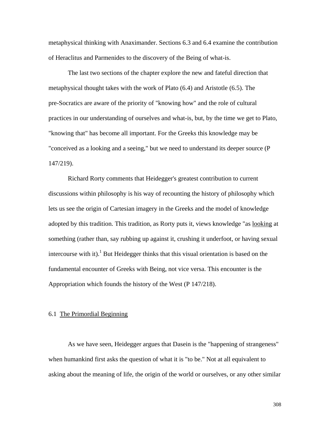metaphysical thinking with Anaximander. Sections 6.3 and 6.4 examine the contribution of Heraclitus and Parmenides to the discovery of the Being of what-is.

 The last two sections of the chapter explore the new and fateful direction that metaphysical thought takes with the work of Plato (6.4) and Aristotle (6.5). The pre-Socratics are aware of the priority of "knowing how" and the role of cultural practices in our understanding of ourselves and what-is, but, by the time we get to Plato, "knowing that" has become all important. For the Greeks this knowledge may be "conceived as a looking and a seeing," but we need to understand its deeper source (P 147/219).

 Richard Rorty comments that Heidegger's greatest contribution to current discussions within philosophy is his way of recounting the history of philosophy which lets us see the origin of Cartesian imagery in the Greeks and the model of knowledge adopted by this tradition. This tradition, as Rorty puts it, views knowledge "as looking at something (rather than, say rubbing up against it, crushing it underfoot, or having sexual intercourse with it).<sup>1</sup> But Heidegger thinks that this visual orientation is based on the fundamental encounter of Greeks with Being, not vice versa. This encounter is the Appropriation which founds the history of the West (P 147/218).

#### 6.1 The Primordial Beginning

 As we have seen, Heidegger argues that Dasein is the "happening of strangeness" when humankind first asks the question of what it is "to be." Not at all equivalent to asking about the meaning of life, the origin of the world or ourselves, or any other similar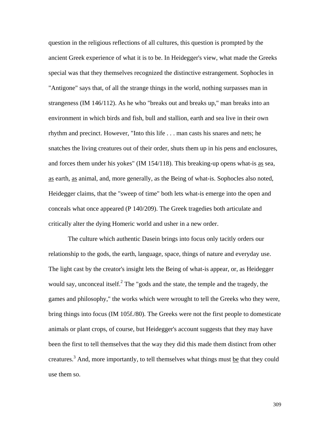question in the religious reflections of all cultures, this question is prompted by the ancient Greek experience of what it is to be. In Heidegger's view, what made the Greeks special was that they themselves recognized the distinctive estrangement. Sophocles in "Antigone" says that, of all the strange things in the world, nothing surpasses man in strangeness (IM 146/112). As he who "breaks out and breaks up," man breaks into an environment in which birds and fish, bull and stallion, earth and sea live in their own rhythm and precinct. However, "Into this life . . . man casts his snares and nets; he snatches the living creatures out of their order, shuts them up in his pens and enclosures, and forces them under his yokes" (IM 154/118). This breaking-up opens what-is as sea, as earth, as animal, and, more generally, as the Being of what-is. Sophocles also noted, Heidegger claims, that the "sweep of time" both lets what-is emerge into the open and conceals what once appeared (P 140/209). The Greek tragedies both articulate and critically alter the dying Homeric world and usher in a new order.

 The culture which authentic Dasein brings into focus only tacitly orders our relationship to the gods, the earth, language, space, things of nature and everyday use. The light cast by the creator's insight lets the Being of what-is appear, or, as Heidegger would say, unconceal itself. $2$  The "gods and the state, the temple and the tragedy, the games and philosophy," the works which were wrought to tell the Greeks who they were, bring things into focus (IM 105f./80). The Greeks were not the first people to domesticate animals or plant crops, of course, but Heidegger's account suggests that they may have been the first to tell themselves that the way they did this made them distinct from other creatures.<sup>3</sup> And, more importantly, to tell themselves what things must be that they could use them so.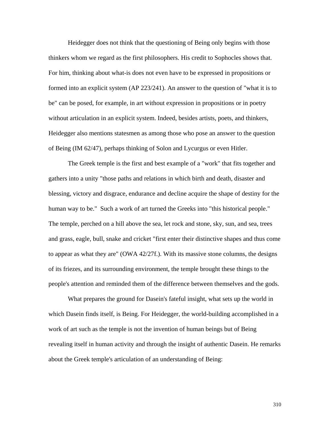Heidegger does not think that the questioning of Being only begins with those thinkers whom we regard as the first philosophers. His credit to Sophocles shows that. For him, thinking about what-is does not even have to be expressed in propositions or formed into an explicit system (AP 223/241). An answer to the question of "what it is to be" can be posed, for example, in art without expression in propositions or in poetry without articulation in an explicit system. Indeed, besides artists, poets, and thinkers, Heidegger also mentions statesmen as among those who pose an answer to the question of Being (IM 62/47), perhaps thinking of Solon and Lycurgus or even Hitler.

 The Greek temple is the first and best example of a "work" that fits together and gathers into a unity "those paths and relations in which birth and death, disaster and blessing, victory and disgrace, endurance and decline acquire the shape of destiny for the human way to be." Such a work of art turned the Greeks into "this historical people." The temple, perched on a hill above the sea, let rock and stone, sky, sun, and sea, trees and grass, eagle, bull, snake and cricket "first enter their distinctive shapes and thus come to appear as what they are" (OWA 42/27f.). With its massive stone columns, the designs of its friezes, and its surrounding environment, the temple brought these things to the people's attention and reminded them of the difference between themselves and the gods.

 What prepares the ground for Dasein's fateful insight, what sets up the world in which Dasein finds itself, is Being. For Heidegger, the world-building accomplished in a work of art such as the temple is not the invention of human beings but of Being revealing itself in human activity and through the insight of authentic Dasein. He remarks about the Greek temple's articulation of an understanding of Being: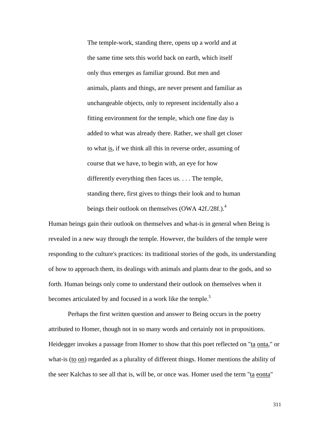The temple-work, standing there, opens up a world and at the same time sets this world back on earth, which itself only thus emerges as familiar ground. But men and animals, plants and things, are never present and familiar as unchangeable objects, only to represent incidentally also a fitting environment for the temple, which one fine day is added to what was already there. Rather, we shall get closer to what is, if we think all this in reverse order, assuming of course that we have, to begin with, an eye for how differently everything then faces us. . . . The temple, standing there, first gives to things their look and to human beings their outlook on themselves  $(OWA 42f./28f.)$ <sup>4</sup>

Human beings gain their outlook on themselves and what-is in general when Being is revealed in a new way through the temple. However, the builders of the temple were responding to the culture's practices: its traditional stories of the gods, its understanding of how to approach them, its dealings with animals and plants dear to the gods, and so forth. Human beings only come to understand their outlook on themselves when it becomes articulated by and focused in a work like the temple.<sup>5</sup>

 Perhaps the first written question and answer to Being occurs in the poetry attributed to Homer, though not in so many words and certainly not in propositions. Heidegger invokes a passage from Homer to show that this poet reflected on "ta onta," or what-is (to on) regarded as a plurality of different things. Homer mentions the ability of the seer Kalchas to see all that is, will be, or once was. Homer used the term "ta eonta"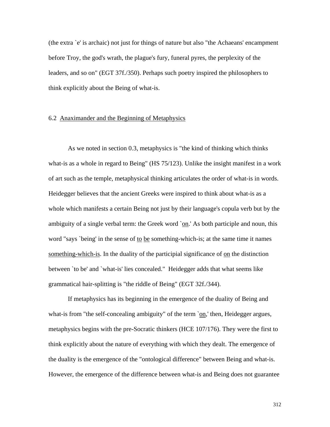(the extra `e' is archaic) not just for things of nature but also "the Achaeans' encampment before Troy, the god's wrath, the plague's fury, funeral pyres, the perplexity of the leaders, and so on" (EGT 37f./350). Perhaps such poetry inspired the philosophers to think explicitly about the Being of what-is.

#### 6.2 Anaximander and the Beginning of Metaphysics

 As we noted in section 0.3, metaphysics is "the kind of thinking which thinks what-is as a whole in regard to Being" (HS 75/123). Unlike the insight manifest in a work of art such as the temple, metaphysical thinking articulates the order of what-is in words. Heidegger believes that the ancient Greeks were inspired to think about what-is as a whole which manifests a certain Being not just by their language's copula verb but by the ambiguity of a single verbal term: the Greek word `on.' As both participle and noun, this word "says `being' in the sense of to be something-which-is; at the same time it names something-which-is. In the duality of the participial significance of on the distinction between `to be' and `what-is' lies concealed." Heidegger adds that what seems like grammatical hair-splitting is "the riddle of Being" (EGT 32f./344).

 If metaphysics has its beginning in the emergence of the duality of Being and what-is from "the self-concealing ambiguity" of the term `on,' then, Heidegger argues, metaphysics begins with the pre-Socratic thinkers (HCE 107/176). They were the first to think explicitly about the nature of everything with which they dealt. The emergence of the duality is the emergence of the "ontological difference" between Being and what-is. However, the emergence of the difference between what-is and Being does not guarantee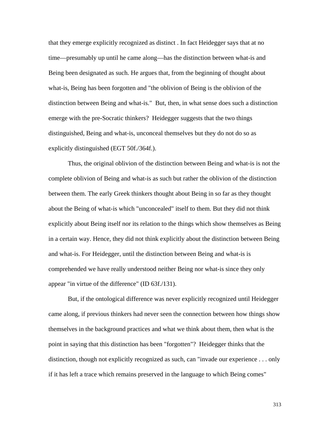that they emerge explicitly recognized as distinct . In fact Heidegger says that at no time—presumably up until he came along—has the distinction between what-is and Being been designated as such. He argues that, from the beginning of thought about what-is, Being has been forgotten and "the oblivion of Being is the oblivion of the distinction between Being and what-is." But, then, in what sense does such a distinction emerge with the pre-Socratic thinkers? Heidegger suggests that the two things distinguished, Being and what-is, unconceal themselves but they do not do so as explicitly distinguished (EGT 50f./364f.).

 Thus, the original oblivion of the distinction between Being and what-is is not the complete oblivion of Being and what-is as such but rather the oblivion of the distinction between them. The early Greek thinkers thought about Being in so far as they thought about the Being of what-is which "unconcealed" itself to them. But they did not think explicitly about Being itself nor its relation to the things which show themselves as Being in a certain way. Hence, they did not think explicitly about the distinction between Being and what-is. For Heidegger, until the distinction between Being and what-is is comprehended we have really understood neither Being nor what-is since they only appear "in virtue of the difference" (ID 63f./131).

 But, if the ontological difference was never explicitly recognized until Heidegger came along, if previous thinkers had never seen the connection between how things show themselves in the background practices and what we think about them, then what is the point in saying that this distinction has been "forgotten"? Heidegger thinks that the distinction, though not explicitly recognized as such, can "invade our experience . . . only if it has left a trace which remains preserved in the language to which Being comes"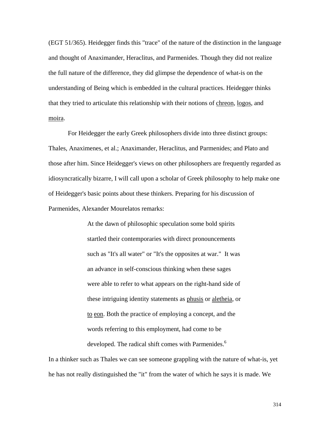(EGT 51/365). Heidegger finds this "trace" of the nature of the distinction in the language and thought of Anaximander, Heraclitus, and Parmenides. Though they did not realize the full nature of the difference, they did glimpse the dependence of what-is on the understanding of Being which is embedded in the cultural practices. Heidegger thinks that they tried to articulate this relationship with their notions of chreon, logos, and moira.

 For Heidegger the early Greek philosophers divide into three distinct groups: Thales, Anaximenes, et al.; Anaximander, Heraclitus, and Parmenides; and Plato and those after him. Since Heidegger's views on other philosophers are frequently regarded as idiosyncratically bizarre, I will call upon a scholar of Greek philosophy to help make one of Heidegger's basic points about these thinkers. Preparing for his discussion of Parmenides, Alexander Mourelatos remarks:

> At the dawn of philosophic speculation some bold spirits startled their contemporaries with direct pronouncements such as "It's all water" or "It's the opposites at war." It was an advance in self-conscious thinking when these sages were able to refer to what appears on the right-hand side of these intriguing identity statements as phusis or aletheia, or to eon. Both the practice of employing a concept, and the words referring to this employment, had come to be developed. The radical shift comes with Parmenides.<sup>6</sup>

In a thinker such as Thales we can see someone grappling with the nature of what-is, yet he has not really distinguished the "it" from the water of which he says it is made. We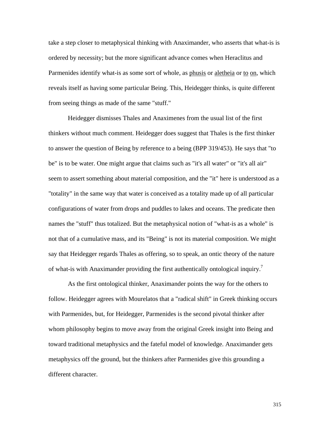take a step closer to metaphysical thinking with Anaximander, who asserts that what-is is ordered by necessity; but the more significant advance comes when Heraclitus and Parmenides identify what-is as some sort of whole, as phusis or aletheia or to on, which reveals itself as having some particular Being. This, Heidegger thinks, is quite different from seeing things as made of the same "stuff."

 Heidegger dismisses Thales and Anaximenes from the usual list of the first thinkers without much comment. Heidegger does suggest that Thales is the first thinker to answer the question of Being by reference to a being (BPP 319/453). He says that "to be" is to be water. One might argue that claims such as "it's all water" or "it's all air" seem to assert something about material composition, and the "it" here is understood as a "totality" in the same way that water is conceived as a totality made up of all particular configurations of water from drops and puddles to lakes and oceans. The predicate then names the "stuff" thus totalized. But the metaphysical notion of "what-is as a whole" is not that of a cumulative mass, and its "Being" is not its material composition. We might say that Heidegger regards Thales as offering, so to speak, an ontic theory of the nature of what-is with Anaximander providing the first authentically ontological inquiry.<sup>7</sup>

 As the first ontological thinker, Anaximander points the way for the others to follow. Heidegger agrees with Mourelatos that a "radical shift" in Greek thinking occurs with Parmenides, but, for Heidegger, Parmenides is the second pivotal thinker after whom philosophy begins to move away from the original Greek insight into Being and toward traditional metaphysics and the fateful model of knowledge. Anaximander gets metaphysics off the ground, but the thinkers after Parmenides give this grounding a different character.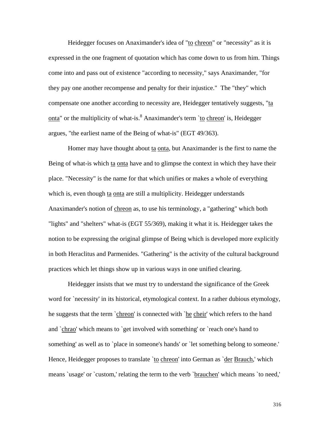Heidegger focuses on Anaximander's idea of "to chreon" or "necessity" as it is expressed in the one fragment of quotation which has come down to us from him. Things come into and pass out of existence "according to necessity," says Anaximander, "for they pay one another recompense and penalty for their injustice." The "they" which compensate one another according to necessity are, Heidegger tentatively suggests, "ta onta" or the multiplicity of what-is.<sup>8</sup> Anaximander's term `to chreon' is, Heidegger argues, "the earliest name of the Being of what-is" (EGT 49/363).

Homer may have thought about ta onta, but Anaximander is the first to name the Being of what-is which ta onta have and to glimpse the context in which they have their place. "Necessity" is the name for that which unifies or makes a whole of everything which is, even though ta onta are still a multiplicity. Heidegger understands Anaximander's notion of chreon as, to use his terminology, a "gathering" which both "lights" and "shelters" what-is (EGT 55/369), making it what it is. Heidegger takes the notion to be expressing the original glimpse of Being which is developed more explicitly in both Heraclitus and Parmenides. "Gathering" is the activity of the cultural background practices which let things show up in various ways in one unified clearing.

 Heidegger insists that we must try to understand the significance of the Greek word for `necessity' in its historical, etymological context. In a rather dubious etymology, he suggests that the term `chreon' is connected with `he cheir' which refers to the hand and `chrao' which means to `get involved with something' or `reach one's hand to something' as well as to `place in someone's hands' or `let something belong to someone.' Hence, Heidegger proposes to translate `to chreon' into German as `der Brauch,' which means `usage' or `custom,' relating the term to the verb `brauchen' which means `to need,'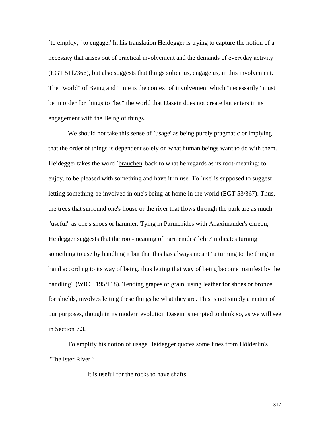`to employ,' `to engage.' In his translation Heidegger is trying to capture the notion of a necessity that arises out of practical involvement and the demands of everyday activity (EGT 51f./366), but also suggests that things solicit us, engage us, in this involvement. The "world" of **Being and Time** is the context of involvement which "necessarily" must be in order for things to "be," the world that Dasein does not create but enters in its engagement with the Being of things.

We should not take this sense of `usage' as being purely pragmatic or implying that the order of things is dependent solely on what human beings want to do with them. Heidegger takes the word `brauchen' back to what he regards as its root-meaning: to enjoy, to be pleased with something and have it in use. To `use' is supposed to suggest letting something be involved in one's being-at-home in the world (EGT 53/367). Thus, the trees that surround one's house or the river that flows through the park are as much "useful" as one's shoes or hammer. Tying in Parmenides with Anaximander's chreon, Heidegger suggests that the root-meaning of Parmenides' `chre' indicates turning something to use by handling it but that this has always meant "a turning to the thing in hand according to its way of being, thus letting that way of being become manifest by the handling" (WICT 195/118). Tending grapes or grain, using leather for shoes or bronze for shields, involves letting these things be what they are. This is not simply a matter of our purposes, though in its modern evolution Dasein is tempted to think so, as we will see in Section 7.3.

 To amplify his notion of usage Heidegger quotes some lines from Hölderlin's "The Ister River":

It is useful for the rocks to have shafts,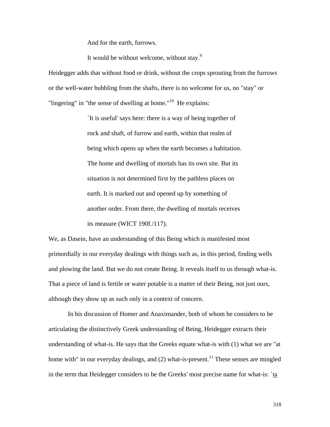And for the earth, furrows.

It would be without welcome, without stay.<sup>9</sup>

Heidegger adds that without food or drink, without the crops sprouting from the furrows or the well-water bubbling from the shafts, there is no welcome for us, no "stay" or "lingering" in "the sense of dwelling at home."<sup>10</sup> He explains:

> `It is useful' says here: there is a way of being together of rock and shaft, of furrow and earth, within that realm of being which opens up when the earth becomes a habitation. The home and dwelling of mortals has its own site. But its situation is not determined first by the pathless places on earth. It is marked out and opened up by something of another order. From there, the dwelling of mortals receives its measure (WICT 190f./117).

We, as Dasein, have an understanding of this Being which is manifested most primordially in our everyday dealings with things such as, in this period, finding wells and plowing the land. But we do not create Being. It reveals itself to us through what-is. That a piece of land is fertile or water potable is a matter of their Being, not just ours, although they show up as such only in a context of concern.

 In his discussion of Homer and Anaximander, both of whom he considers to be articulating the distinctively Greek understanding of Being, Heidegger extracts their understanding of what-is. He says that the Greeks equate what-is with (1) what we are "at home with" in our everyday dealings, and (2) what-is-present.<sup>11</sup> These senses are mingled in the term that Heidegger considers to be the Greeks' most precise name for what-is: `ta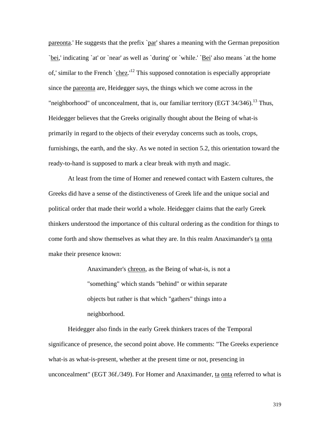pareonta.' He suggests that the prefix `par' shares a meaning with the German preposition `bei,' indicating `at' or `near' as well as `during' or `while.' `Bei' also means `at the home of,' similar to the French `chez.'<sup>12</sup> This supposed connotation is especially appropriate since the pareonta are, Heidegger says, the things which we come across in the "neighborhood" of unconcealment, that is, our familiar territory (EGT 34/346).<sup>13</sup> Thus, Heidegger believes that the Greeks originally thought about the Being of what-is primarily in regard to the objects of their everyday concerns such as tools, crops, furnishings, the earth, and the sky. As we noted in section 5.2, this orientation toward the ready-to-hand is supposed to mark a clear break with myth and magic.

 At least from the time of Homer and renewed contact with Eastern cultures, the Greeks did have a sense of the distinctiveness of Greek life and the unique social and political order that made their world a whole. Heidegger claims that the early Greek thinkers understood the importance of this cultural ordering as the condition for things to come forth and show themselves as what they are. In this realm Anaximander's ta onta make their presence known:

> Anaximander's chreon, as the Being of what-is, is not a "something" which stands "behind" or within separate objects but rather is that which "gathers" things into a neighborhood.

 Heidegger also finds in the early Greek thinkers traces of the Temporal significance of presence, the second point above. He comments: "The Greeks experience what-is as what-is-present, whether at the present time or not, presencing in unconcealment" (EGT 36f./349). For Homer and Anaximander, ta onta referred to what is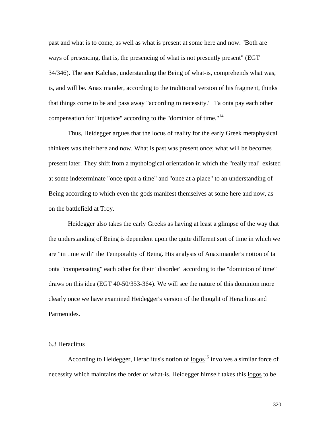past and what is to come, as well as what is present at some here and now. "Both are ways of presencing, that is, the presencing of what is not presently present" (EGT 34/346). The seer Kalchas, understanding the Being of what-is, comprehends what was, is, and will be. Anaximander, according to the traditional version of his fragment, thinks that things come to be and pass away "according to necessity." Ta onta pay each other compensation for "injustice" according to the "dominion of time."<sup>14</sup>

 Thus, Heidegger argues that the locus of reality for the early Greek metaphysical thinkers was their here and now. What is past was present once; what will be becomes present later. They shift from a mythological orientation in which the "really real" existed at some indeterminate "once upon a time" and "once at a place" to an understanding of Being according to which even the gods manifest themselves at some here and now, as on the battlefield at Troy.

 Heidegger also takes the early Greeks as having at least a glimpse of the way that the understanding of Being is dependent upon the quite different sort of time in which we are "in time with" the Temporality of Being. His analysis of Anaximander's notion of ta onta "compensating" each other for their "disorder" according to the "dominion of time" draws on this idea (EGT 40-50/353-364). We will see the nature of this dominion more clearly once we have examined Heidegger's version of the thought of Heraclitus and Parmenides.

#### 6.3 Heraclitus

According to Heidegger, Heraclitus's notion of  $\log 15$  involves a similar force of necessity which maintains the order of what-is. Heidegger himself takes this logos to be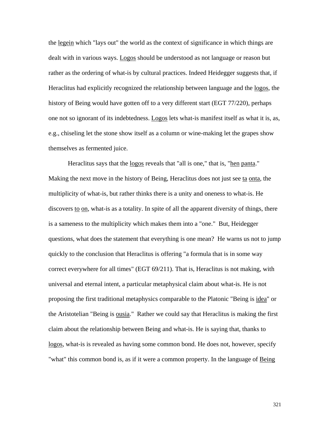the legein which "lays out" the world as the context of significance in which things are dealt with in various ways. Logos should be understood as not language or reason but rather as the ordering of what-is by cultural practices. Indeed Heidegger suggests that, if Heraclitus had explicitly recognized the relationship between language and the logos, the history of Being would have gotten off to a very different start (EGT 77/220), perhaps one not so ignorant of its indebtedness. Logos lets what-is manifest itself as what it is, as, e.g., chiseling let the stone show itself as a column or wine-making let the grapes show themselves as fermented juice.

 Heraclitus says that the logos reveals that "all is one," that is, "hen panta." Making the next move in the history of Being, Heraclitus does not just see ta onta, the multiplicity of what-is, but rather thinks there is a unity and oneness to what-is. He discovers to on, what-is as a totality. In spite of all the apparent diversity of things, there is a sameness to the multiplicity which makes them into a "one." But, Heidegger questions, what does the statement that everything is one mean? He warns us not to jump quickly to the conclusion that Heraclitus is offering "a formula that is in some way correct everywhere for all times" (EGT 69/211). That is, Heraclitus is not making, with universal and eternal intent, a particular metaphysical claim about what-is. He is not proposing the first traditional metaphysics comparable to the Platonic "Being is idea" or the Aristotelian "Being is <u>ousia</u>." Rather we could say that Heraclitus is making the first claim about the relationship between Being and what-is. He is saying that, thanks to logos, what-is is revealed as having some common bond. He does not, however, specify "what" this common bond is, as if it were a common property. In the language of Being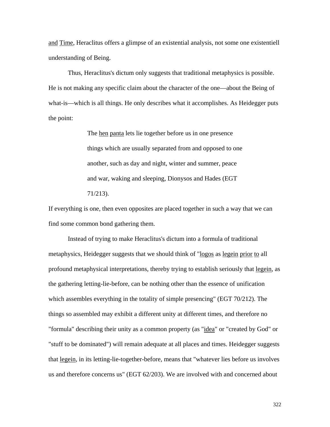and Time, Heraclitus offers a glimpse of an existential analysis, not some one existentiell understanding of Being.

 Thus, Heraclitus's dictum only suggests that traditional metaphysics is possible. He is not making any specific claim about the character of the one—about the Being of what-is—which is all things. He only describes what it accomplishes. As Heidegger puts the point:

> The hen panta lets lie together before us in one presence things which are usually separated from and opposed to one another, such as day and night, winter and summer, peace and war, waking and sleeping, Dionysos and Hades (EGT 71/213).

If everything is one, then even opposites are placed together in such a way that we can find some common bond gathering them.

 Instead of trying to make Heraclitus's dictum into a formula of traditional metaphysics, Heidegger suggests that we should think of "logos as legein prior to all profound metaphysical interpretations, thereby trying to establish seriously that legein, as the gathering letting-lie-before, can be nothing other than the essence of unification which assembles everything in the totality of simple presencing" (EGT 70/212). The things so assembled may exhibit a different unity at different times, and therefore no "formula" describing their unity as a common property (as "idea" or "created by God" or "stuff to be dominated") will remain adequate at all places and times. Heidegger suggests that legein, in its letting-lie-together-before, means that "whatever lies before us involves us and therefore concerns us" (EGT 62/203). We are involved with and concerned about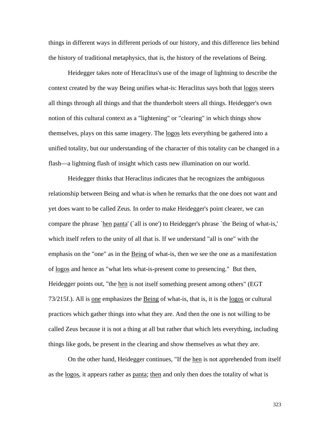things in different ways in different periods of our history, and this difference lies behind the history of traditional metaphysics, that is, the history of the revelations of Being.

 Heidegger takes note of Heraclitus's use of the image of lightning to describe the context created by the way Being unifies what-is: Heraclitus says both that logos steers all things through all things and that the thunderbolt steers all things. Heidegger's own notion of this cultural context as a "lightening" or "clearing" in which things show themselves, plays on this same imagery. The logos lets everything be gathered into a unified totality, but our understanding of the character of this totality can be changed in a flash—a lightning flash of insight which casts new illumination on our world.

 Heidegger thinks that Heraclitus indicates that he recognizes the ambiguous relationship between Being and what-is when he remarks that the one does not want and yet does want to be called Zeus. In order to make Heidegger's point clearer, we can compare the phrase `hen panta' (`all is one') to Heidegger's phrase `the Being of what-is,' which itself refers to the unity of all that is. If we understand "all is one" with the emphasis on the "one" as in the Being of what-is, then we see the one as a manifestation of logos and hence as "what lets what-is-present come to presencing." But then, Heidegger points out, "the hen is not itself something present among others" (EGT 73/215f.). All is <u>one</u> emphasizes the Being of what-is, that is, it is the <u>logos</u> or cultural practices which gather things into what they are. And then the one is not willing to be called Zeus because it is not a thing at all but rather that which lets everything, including things like gods, be present in the clearing and show themselves as what they are.

 On the other hand, Heidegger continues, "If the hen is not apprehended from itself as the logos, it appears rather as panta; then and only then does the totality of what is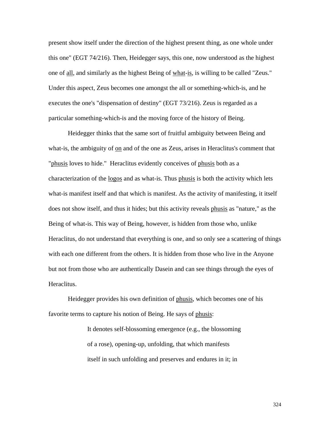present show itself under the direction of the highest present thing, as one whole under this one" (EGT 74/216). Then, Heidegger says, this one, now understood as the highest one of all, and similarly as the highest Being of what-is, is willing to be called "Zeus." Under this aspect, Zeus becomes one amongst the all or something-which-is, and he executes the one's "dispensation of destiny" (EGT 73/216). Zeus is regarded as a particular something-which-is and the moving force of the history of Being.

 Heidegger thinks that the same sort of fruitful ambiguity between Being and what-is, the ambiguity of on and of the one as Zeus, arises in Heraclitus's comment that "phusis loves to hide." Heraclitus evidently conceives of phusis both as a characterization of the logos and as what-is. Thus phusis is both the activity which lets what-is manifest itself and that which is manifest. As the activity of manifesting, it itself does not show itself, and thus it hides; but this activity reveals phusis as "nature," as the Being of what-is. This way of Being, however, is hidden from those who, unlike Heraclitus, do not understand that everything is one, and so only see a scattering of things with each one different from the others. It is hidden from those who live in the Anyone but not from those who are authentically Dasein and can see things through the eyes of Heraclitus.

 Heidegger provides his own definition of phusis, which becomes one of his favorite terms to capture his notion of Being. He says of phusis:

> It denotes self-blossoming emergence (e.g., the blossoming of a rose), opening-up, unfolding, that which manifests itself in such unfolding and preserves and endures in it; in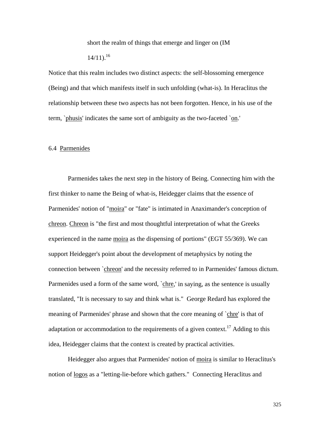short the realm of things that emerge and linger on (IM

 $14/11$ <sup>16</sup>

Notice that this realm includes two distinct aspects: the self-blossoming emergence (Being) and that which manifests itself in such unfolding (what-is). In Heraclitus the relationship between these two aspects has not been forgotten. Hence, in his use of the term, `phusis' indicates the same sort of ambiguity as the two-faceted `on.'

## 6.4 Parmenides

 Parmenides takes the next step in the history of Being. Connecting him with the first thinker to name the Being of what-is, Heidegger claims that the essence of Parmenides' notion of "moira" or "fate" is intimated in Anaximander's conception of chreon. Chreon is "the first and most thoughtful interpretation of what the Greeks experienced in the name moira as the dispensing of portions" (EGT 55/369). We can support Heidegger's point about the development of metaphysics by noting the connection between `chreon' and the necessity referred to in Parmenides' famous dictum. Parmenides used a form of the same word, `chre,' in saying, as the sentence is usually translated, "It is necessary to say and think what is." George Redard has explored the meaning of Parmenides' phrase and shown that the core meaning of `chre' is that of adaptation or accommodation to the requirements of a given context.<sup>17</sup> Adding to this idea, Heidegger claims that the context is created by practical activities.

 Heidegger also argues that Parmenides' notion of moira is similar to Heraclitus's notion of logos as a "letting-lie-before which gathers." Connecting Heraclitus and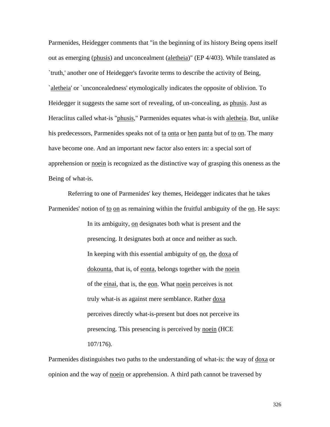Parmenides, Heidegger comments that "in the beginning of its history Being opens itself out as emerging (phusis) and unconcealment (aletheia)" (EP 4/403). While translated as `truth,' another one of Heidegger's favorite terms to describe the activity of Being, `aletheia' or `unconcealedness' etymologically indicates the opposite of oblivion. To Heidegger it suggests the same sort of revealing, of un-concealing, as phusis. Just as Heraclitus called what-is "phusis," Parmenides equates what-is with aletheia. But, unlike his predecessors, Parmenides speaks not of ta onta or hen panta but of to on. The many have become one. And an important new factor also enters in: a special sort of apprehension or noein is recognized as the distinctive way of grasping this oneness as the Being of what-is.

 Referring to one of Parmenides' key themes, Heidegger indicates that he takes Parmenides' notion of to on as remaining within the fruitful ambiguity of the on. He says:

> In its ambiguity, on designates both what is present and the presencing. It designates both at once and neither as such. In keeping with this essential ambiguity of on, the doxa of dokounta, that is, of eonta, belongs together with the noein of the einai, that is, the eon. What noein perceives is not truly what-is as against mere semblance. Rather doxa perceives directly what-is-present but does not perceive its presencing. This presencing is perceived by noein (HCE 107/176).

Parmenides distinguishes two paths to the understanding of what-is: the way of doxa or opinion and the way of noein or apprehension. A third path cannot be traversed by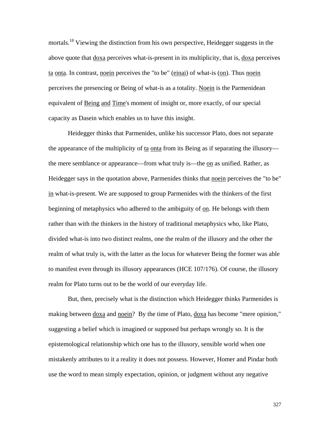mortals.<sup>18</sup> Viewing the distinction from his own perspective, Heidegger suggests in the above quote that doxa perceives what-is-present in its multiplicity, that is, doxa perceives ta onta. In contrast, noein perceives the "to be" (einai) of what-is (on). Thus noein perceives the presencing or Being of what-is as a totality. Noein is the Parmenidean equivalent of Being and Time's moment of insight or, more exactly, of our special capacity as Dasein which enables us to have this insight.

 Heidegger thinks that Parmenides, unlike his successor Plato, does not separate the appearance of the multiplicity of ta onta from its Being as if separating the illusory the mere semblance or appearance—from what truly is—the on as unified. Rather, as Heidegger says in the quotation above, Parmenides thinks that noein perceives the "to be" in what-is-present. We are supposed to group Parmenides with the thinkers of the first beginning of metaphysics who adhered to the ambiguity of on. He belongs with them rather than with the thinkers in the history of traditional metaphysics who, like Plato, divided what-is into two distinct realms, one the realm of the illusory and the other the realm of what truly is, with the latter as the locus for whatever Being the former was able to manifest even through its illusory appearances (HCE 107/176). Of course, the illusory realm for Plato turns out to be the world of our everyday life.

 But, then, precisely what is the distinction which Heidegger thinks Parmenides is making between <u>doxa</u> and noein? By the time of Plato, doxa has become "mere opinion," suggesting a belief which is imagined or supposed but perhaps wrongly so. It is the epistemological relationship which one has to the illusory, sensible world when one mistakenly attributes to it a reality it does not possess. However, Homer and Pindar both use the word to mean simply expectation, opinion, or judgment without any negative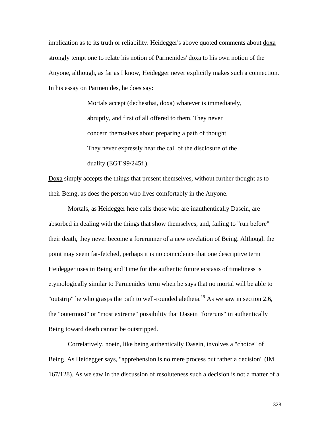implication as to its truth or reliability. Heidegger's above quoted comments about doxa strongly tempt one to relate his notion of Parmenides' doxa to his own notion of the Anyone, although, as far as I know, Heidegger never explicitly makes such a connection. In his essay on Parmenides, he does say:

> Mortals accept (dechesthai, doxa) whatever is immediately, abruptly, and first of all offered to them. They never concern themselves about preparing a path of thought. They never expressly hear the call of the disclosure of the duality (EGT 99/245f.).

Doxa simply accepts the things that present themselves, without further thought as to their Being, as does the person who lives comfortably in the Anyone.

 Mortals, as Heidegger here calls those who are inauthentically Dasein, are absorbed in dealing with the things that show themselves, and, failing to "run before" their death, they never become a forerunner of a new revelation of Being. Although the point may seem far-fetched, perhaps it is no coincidence that one descriptive term Heidegger uses in Being and Time for the authentic future ecstasis of timeliness is etymologically similar to Parmenides' term when he says that no mortal will be able to "outstrip" he who grasps the path to well-rounded  $\frac{\text{a}^2}{\text{b}}$  As we saw in section 2.6, the "outermost" or "most extreme" possibility that Dasein "foreruns" in authentically Being toward death cannot be outstripped.

 Correlatively, noein, like being authentically Dasein, involves a "choice" of Being. As Heidegger says, "apprehension is no mere process but rather a decision" (IM 167/128). As we saw in the discussion of resoluteness such a decision is not a matter of a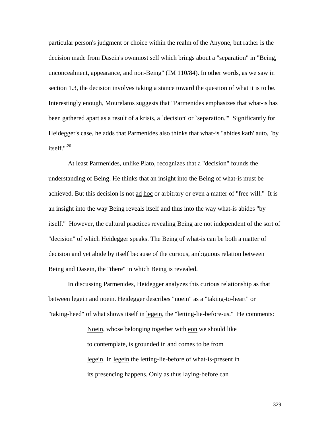particular person's judgment or choice within the realm of the Anyone, but rather is the decision made from Dasein's ownmost self which brings about a "separation" in "Being, unconcealment, appearance, and non-Being" (IM 110/84). In other words, as we saw in section 1.3, the decision involves taking a stance toward the question of what it is to be. Interestingly enough, Mourelatos suggests that "Parmenides emphasizes that what-is has been gathered apart as a result of a krisis, a `decision' or `separation.'" Significantly for Heidegger's case, he adds that Parmenides also thinks that what-is "abides kath' auto, `by itself. $m^{20}$ 

 At least Parmenides, unlike Plato, recognizes that a "decision" founds the understanding of Being. He thinks that an insight into the Being of what-is must be achieved. But this decision is not ad hoc or arbitrary or even a matter of "free will." It is an insight into the way Being reveals itself and thus into the way what-is abides "by itself." However, the cultural practices revealing Being are not independent of the sort of "decision" of which Heidegger speaks. The Being of what-is can be both a matter of decision and yet abide by itself because of the curious, ambiguous relation between Being and Dasein, the "there" in which Being is revealed.

 In discussing Parmenides, Heidegger analyzes this curious relationship as that between <u>legein</u> and noein. Heidegger describes "noein" as a "taking-to-heart" or "taking-heed" of what shows itself in <u>legein</u>, the "letting-lie-before-us." He comments:

> Noein, whose belonging together with eon we should like to contemplate, is grounded in and comes to be from legein. In legein the letting-lie-before of what-is-present in its presencing happens. Only as thus laying-before can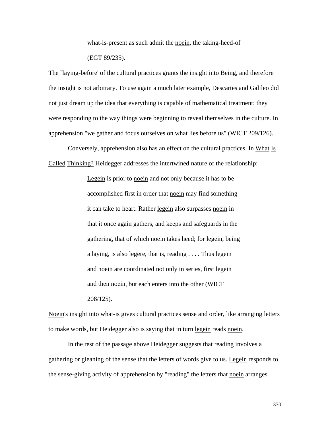what-is-present as such admit the <u>noein</u>, the taking-heed-of (EGT 89/235).

The `laying-before' of the cultural practices grants the insight into Being, and therefore the insight is not arbitrary. To use again a much later example, Descartes and Galileo did not just dream up the idea that everything is capable of mathematical treatment; they were responding to the way things were beginning to reveal themselves in the culture. In apprehension "we gather and focus ourselves on what lies before us" (WICT 209/126).

Conversely, apprehension also has an effect on the cultural practices. In What Is Called Thinking? Heidegger addresses the intertwined nature of the relationship:

> Legein is prior to noein and not only because it has to be accomplished first in order that noein may find something it can take to heart. Rather legein also surpasses noein in that it once again gathers, and keeps and safeguards in the gathering, that of which noein takes heed; for legein, being a laying, is also legere, that is, reading . . . . Thus legein and noein are coordinated not only in series, first legein and then noein, but each enters into the other (WICT 208/125).

Noein's insight into what-is gives cultural practices sense and order, like arranging letters to make words, but Heidegger also is saying that in turn legein reads noein.

 In the rest of the passage above Heidegger suggests that reading involves a gathering or gleaning of the sense that the letters of words give to us. Legein responds to the sense-giving activity of apprehension by "reading" the letters that noein arranges.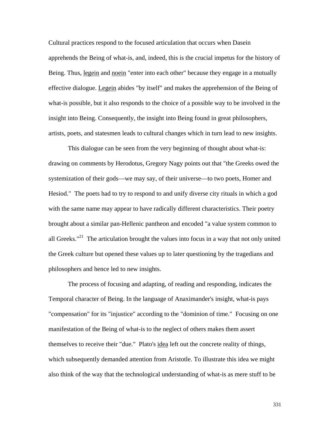Cultural practices respond to the focused articulation that occurs when Dasein apprehends the Being of what-is, and, indeed, this is the crucial impetus for the history of Being. Thus, legein and noein "enter into each other" because they engage in a mutually effective dialogue. Legein abides "by itself" and makes the apprehension of the Being of what-is possible, but it also responds to the choice of a possible way to be involved in the insight into Being. Consequently, the insight into Being found in great philosophers, artists, poets, and statesmen leads to cultural changes which in turn lead to new insights.

 This dialogue can be seen from the very beginning of thought about what-is: drawing on comments by Herodotus, Gregory Nagy points out that "the Greeks owed the systemization of their gods—we may say, of their universe—to two poets, Homer and Hesiod." The poets had to try to respond to and unify diverse city rituals in which a god with the same name may appear to have radically different characteristics. Their poetry brought about a similar pan-Hellenic pantheon and encoded "a value system common to all Greeks."<sup>21</sup> The articulation brought the values into focus in a way that not only united the Greek culture but opened these values up to later questioning by the tragedians and philosophers and hence led to new insights.

 The process of focusing and adapting, of reading and responding, indicates the Temporal character of Being. In the language of Anaximander's insight, what-is pays "compensation" for its "injustice" according to the "dominion of time." Focusing on one manifestation of the Being of what-is to the neglect of others makes them assert themselves to receive their "due." Plato's idea left out the concrete reality of things, which subsequently demanded attention from Aristotle. To illustrate this idea we might also think of the way that the technological understanding of what-is as mere stuff to be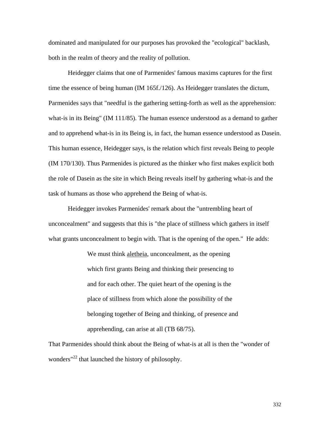dominated and manipulated for our purposes has provoked the "ecological" backlash, both in the realm of theory and the reality of pollution.

 Heidegger claims that one of Parmenides' famous maxims captures for the first time the essence of being human (IM 165f./126). As Heidegger translates the dictum, Parmenides says that "needful is the gathering setting-forth as well as the apprehension: what-is in its Being" (IM 111/85). The human essence understood as a demand to gather and to apprehend what-is in its Being is, in fact, the human essence understood as Dasein. This human essence, Heidegger says, is the relation which first reveals Being to people (IM 170/130). Thus Parmenides is pictured as the thinker who first makes explicit both the role of Dasein as the site in which Being reveals itself by gathering what-is and the task of humans as those who apprehend the Being of what-is.

 Heidegger invokes Parmenides' remark about the "untrembling heart of unconcealment" and suggests that this is "the place of stillness which gathers in itself what grants unconcealment to begin with. That is the opening of the open." He adds:

> We must think aletheia, unconcealment, as the opening which first grants Being and thinking their presencing to and for each other. The quiet heart of the opening is the place of stillness from which alone the possibility of the belonging together of Being and thinking, of presence and apprehending, can arise at all (TB 68/75).

That Parmenides should think about the Being of what-is at all is then the "wonder of wonders<sup>"22</sup> that launched the history of philosophy.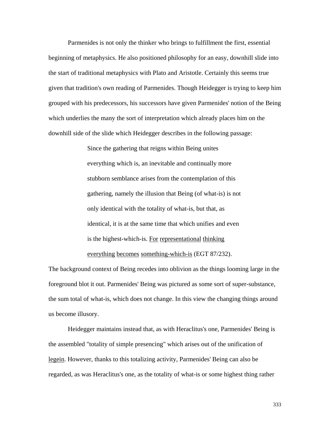Parmenides is not only the thinker who brings to fulfillment the first, essential beginning of metaphysics. He also positioned philosophy for an easy, downhill slide into the start of traditional metaphysics with Plato and Aristotle. Certainly this seems true given that tradition's own reading of Parmenides. Though Heidegger is trying to keep him grouped with his predecessors, his successors have given Parmenides' notion of the Being which underlies the many the sort of interpretation which already places him on the downhill side of the slide which Heidegger describes in the following passage:

> Since the gathering that reigns within Being unites everything which is, an inevitable and continually more stubborn semblance arises from the contemplation of this gathering, namely the illusion that Being (of what-is) is not only identical with the totality of what-is, but that, as identical, it is at the same time that which unifies and even is the highest-which-is. For representational thinking everything becomes something-which-is (EGT 87/232).

The background context of Being recedes into oblivion as the things looming large in the foreground blot it out. Parmenides' Being was pictured as some sort of super-substance, the sum total of what-is, which does not change. In this view the changing things around us become illusory.

 Heidegger maintains instead that, as with Heraclitus's one, Parmenides' Being is the assembled "totality of simple presencing" which arises out of the unification of legein. However, thanks to this totalizing activity, Parmenides' Being can also be regarded, as was Heraclitus's one, as the totality of what-is or some highest thing rather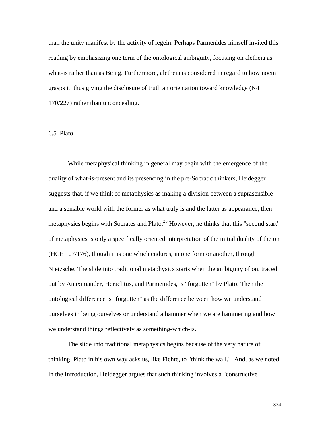than the unity manifest by the activity of legein. Perhaps Parmenides himself invited this reading by emphasizing one term of the ontological ambiguity, focusing on aletheia as what-is rather than as Being. Furthermore, aletheia is considered in regard to how noein grasps it, thus giving the disclosure of truth an orientation toward knowledge (N4 170/227) rather than unconcealing.

#### 6.5 Plato

 While metaphysical thinking in general may begin with the emergence of the duality of what-is-present and its presencing in the pre-Socratic thinkers, Heidegger suggests that, if we think of metaphysics as making a division between a suprasensible and a sensible world with the former as what truly is and the latter as appearance, then metaphysics begins with Socrates and Plato.<sup>23</sup> However, he thinks that this "second start" of metaphysics is only a specifically oriented interpretation of the initial duality of the on (HCE 107/176), though it is one which endures, in one form or another, through Nietzsche. The slide into traditional metaphysics starts when the ambiguity of on, traced out by Anaximander, Heraclitus, and Parmenides, is "forgotten" by Plato. Then the ontological difference is "forgotten" as the difference between how we understand ourselves in being ourselves or understand a hammer when we are hammering and how we understand things reflectively as something-which-is.

 The slide into traditional metaphysics begins because of the very nature of thinking. Plato in his own way asks us, like Fichte, to "think the wall." And, as we noted in the Introduction, Heidegger argues that such thinking involves a "constructive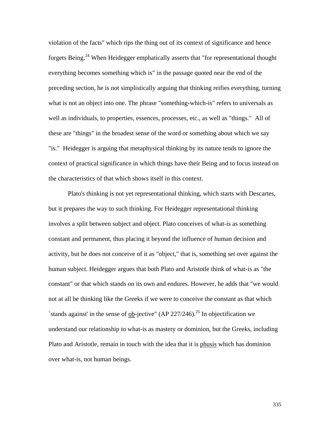violation of the facts" which rips the thing out of its context of significance and hence forgets Being.<sup>24</sup> When Heidegger emphatically asserts that "for representational thought everything becomes something which is" in the passage quoted near the end of the preceding section, he is not simplistically arguing that thinking reifies everything, turning what is not an object into one. The phrase "something-which-is" refers to universals as well as individuals, to properties, essences, processes, etc., as well as "things." All of these are "things" in the broadest sense of the word or something about which we say "is." Heidegger is arguing that metaphysical thinking by its nature tends to ignore the context of practical significance in which things have their Being and to focus instead on the characteristics of that which shows itself in this context.

 Plato's thinking is not yet representational thinking, which starts with Descartes, but it prepares the way to such thinking. For Heidegger representational thinking involves a split between subject and object. Plato conceives of what-is as something constant and permanent, thus placing it beyond the influence of human decision and activity, but he does not conceive of it as "object," that is, something set over against the human subject. Heidegger argues that both Plato and Aristotle think of what-is as "the constant" or that which stands on its own and endures. However, he adds that "we would not at all be thinking like the Greeks if we were to conceive the constant as that which `stands against' in the sense of  $\underline{\text{ob}}$ -jective" (AP 227/246).<sup>25</sup> In objectification we understand our relationship to what-is as mastery or dominion, but the Greeks, including Plato and Aristotle, remain in touch with the idea that it is phusis which has dominion over what-is, not human beings.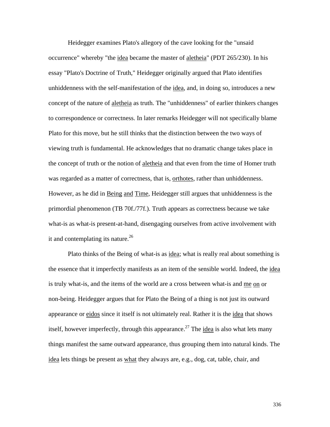Heidegger examines Plato's allegory of the cave looking for the "unsaid occurrence" whereby "the idea became the master of aletheia" (PDT 265/230). In his essay "Plato's Doctrine of Truth," Heidegger originally argued that Plato identifies unhiddenness with the self-manifestation of the idea, and, in doing so, introduces a new concept of the nature of aletheia as truth. The "unhiddenness" of earlier thinkers changes to correspondence or correctness. In later remarks Heidegger will not specifically blame Plato for this move, but he still thinks that the distinction between the two ways of viewing truth is fundamental. He acknowledges that no dramatic change takes place in the concept of truth or the notion of aletheia and that even from the time of Homer truth was regarded as a matter of correctness, that is, orthotes, rather than unhiddenness. However, as he did in Being and Time, Heidegger still argues that unhiddenness is the primordial phenomenon (TB 70f./77f.). Truth appears as correctness because we take what-is as what-is present-at-hand, disengaging ourselves from active involvement with it and contemplating its nature.<sup>26</sup>

Plato thinks of the Being of what-is as idea; what is really real about something is the essence that it imperfectly manifests as an item of the sensible world. Indeed, the idea is truly what-is, and the items of the world are a cross between what-is and me on or non-being. Heidegger argues that for Plato the Being of a thing is not just its outward appearance or eidos since it itself is not ultimately real. Rather it is the idea that shows itself, however imperfectly, through this appearance.<sup>27</sup> The idea is also what lets many things manifest the same outward appearance, thus grouping them into natural kinds. The idea lets things be present as what they always are, e.g., dog, cat, table, chair, and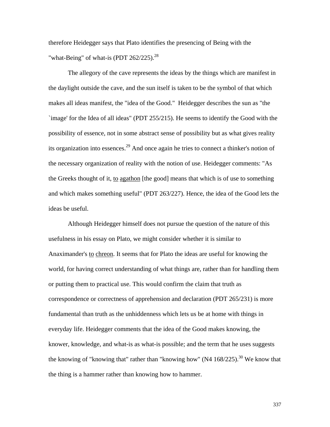therefore Heidegger says that Plato identifies the presencing of Being with the "what-Being" of what-is (PDT  $262/225$ ).<sup>28</sup>

 The allegory of the cave represents the ideas by the things which are manifest in the daylight outside the cave, and the sun itself is taken to be the symbol of that which makes all ideas manifest, the "idea of the Good." Heidegger describes the sun as "the `image' for the Idea of all ideas" (PDT 255/215). He seems to identify the Good with the possibility of essence, not in some abstract sense of possibility but as what gives reality its organization into essences.<sup>29</sup> And once again he tries to connect a thinker's notion of the necessary organization of reality with the notion of use. Heidegger comments: "As the Greeks thought of it, to agathon [the good] means that which is of use to something and which makes something useful" (PDT 263/227). Hence, the idea of the Good lets the ideas be useful.

 Although Heidegger himself does not pursue the question of the nature of this usefulness in his essay on Plato, we might consider whether it is similar to Anaximander's to chreon. It seems that for Plato the ideas are useful for knowing the world, for having correct understanding of what things are, rather than for handling them or putting them to practical use. This would confirm the claim that truth as correspondence or correctness of apprehension and declaration (PDT 265/231) is more fundamental than truth as the unhiddenness which lets us be at home with things in everyday life. Heidegger comments that the idea of the Good makes knowing, the knower, knowledge, and what-is as what-is possible; and the term that he uses suggests the knowing of "knowing that" rather than "knowing how" (N4  $168/225$ ).<sup>30</sup> We know that the thing is a hammer rather than knowing how to hammer.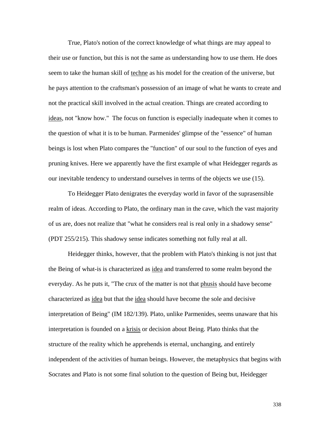True, Plato's notion of the correct knowledge of what things are may appeal to their use or function, but this is not the same as understanding how to use them. He does seem to take the human skill of techne as his model for the creation of the universe, but he pays attention to the craftsman's possession of an image of what he wants to create and not the practical skill involved in the actual creation. Things are created according to ideas, not "know how." The focus on function is especially inadequate when it comes to the question of what it is to be human. Parmenides' glimpse of the "essence" of human beings is lost when Plato compares the "function" of our soul to the function of eyes and pruning knives. Here we apparently have the first example of what Heidegger regards as our inevitable tendency to understand ourselves in terms of the objects we use (15).

 To Heidegger Plato denigrates the everyday world in favor of the suprasensible realm of ideas. According to Plato, the ordinary man in the cave, which the vast majority of us are, does not realize that "what he considers real is real only in a shadowy sense" (PDT 255/215). This shadowy sense indicates something not fully real at all.

 Heidegger thinks, however, that the problem with Plato's thinking is not just that the Being of what-is is characterized as idea and transferred to some realm beyond the everyday. As he puts it, "The crux of the matter is not that phusis should have become characterized as *idea* but that the *idea* should have become the sole and decisive interpretation of Being" (IM 182/139). Plato, unlike Parmenides, seems unaware that his interpretation is founded on a krisis or decision about Being. Plato thinks that the structure of the reality which he apprehends is eternal, unchanging, and entirely independent of the activities of human beings. However, the metaphysics that begins with Socrates and Plato is not some final solution to the question of Being but, Heidegger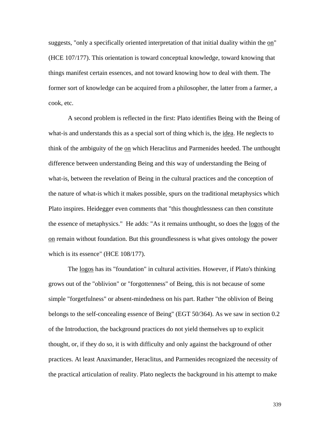suggests, "only a specifically oriented interpretation of that initial duality within the on" (HCE 107/177). This orientation is toward conceptual knowledge, toward knowing that things manifest certain essences, and not toward knowing how to deal with them. The former sort of knowledge can be acquired from a philosopher, the latter from a farmer, a cook, etc.

 A second problem is reflected in the first: Plato identifies Being with the Being of what-is and understands this as a special sort of thing which is, the idea. He neglects to think of the ambiguity of the on which Heraclitus and Parmenides heeded. The unthought difference between understanding Being and this way of understanding the Being of what-is, between the revelation of Being in the cultural practices and the conception of the nature of what-is which it makes possible, spurs on the traditional metaphysics which Plato inspires. Heidegger even comments that "this thoughtlessness can then constitute the essence of metaphysics." He adds: "As it remains unthought, so does the logos of the on remain without foundation. But this groundlessness is what gives ontology the power which is its essence" (HCE 108/177).

 The logos has its "foundation" in cultural activities. However, if Plato's thinking grows out of the "oblivion" or "forgottenness" of Being, this is not because of some simple "forgetfulness" or absent-mindedness on his part. Rather "the oblivion of Being belongs to the self-concealing essence of Being" (EGT 50/364). As we saw in section 0.2 of the Introduction, the background practices do not yield themselves up to explicit thought, or, if they do so, it is with difficulty and only against the background of other practices. At least Anaximander, Heraclitus, and Parmenides recognized the necessity of the practical articulation of reality. Plato neglects the background in his attempt to make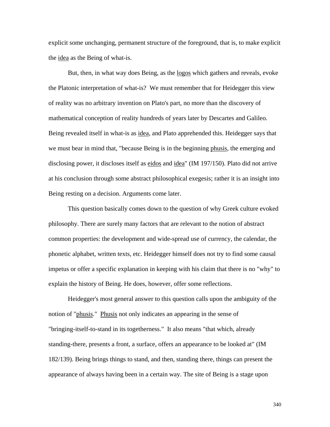explicit some unchanging, permanent structure of the foreground, that is, to make explicit the idea as the Being of what-is.

 But, then, in what way does Being, as the logos which gathers and reveals, evoke the Platonic interpretation of what-is? We must remember that for Heidegger this view of reality was no arbitrary invention on Plato's part, no more than the discovery of mathematical conception of reality hundreds of years later by Descartes and Galileo. Being revealed itself in what-is as idea, and Plato apprehended this. Heidegger says that we must bear in mind that, "because Being is in the beginning phusis, the emerging and disclosing power, it discloses itself as eidos and idea" (IM 197/150). Plato did not arrive at his conclusion through some abstract philosophical exegesis; rather it is an insight into Being resting on a decision. Arguments come later.

 This question basically comes down to the question of why Greek culture evoked philosophy. There are surely many factors that are relevant to the notion of abstract common properties: the development and wide-spread use of currency, the calendar, the phonetic alphabet, written texts, etc. Heidegger himself does not try to find some causal impetus or offer a specific explanation in keeping with his claim that there is no "why" to explain the history of Being. He does, however, offer some reflections.

 Heidegger's most general answer to this question calls upon the ambiguity of the notion of "phusis." Phusis not only indicates an appearing in the sense of "bringing-itself-to-stand in its togetherness." It also means "that which, already standing-there, presents a front, a surface, offers an appearance to be looked at" (IM 182/139). Being brings things to stand, and then, standing there, things can present the appearance of always having been in a certain way. The site of Being is a stage upon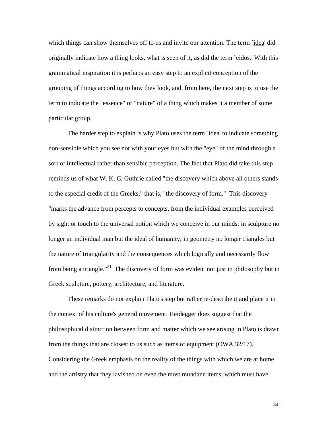which things can show themselves off to us and invite our attention. The term `idea' did originally indicate how a thing looks, what is seen of it, as did the term `eidos.' With this grammatical inspiration it is perhaps an easy step to an explicit conception of the grouping of things according to how they look, and, from here, the next step is to use the term to indicate the "essence" or "nature" of a thing which makes it a member of some particular group.

The harder step to explain is why Plato uses the term `idea' to indicate something non-sensible which you see not with your eyes but with the "eye" of the mind through a sort of intellectual rather than sensible perception. The fact that Plato did take this step reminds us of what W. K. C. Guthrie called "the discovery which above all others stands to the especial credit of the Greeks," that is, "the discovery of form." This discovery "marks the advance from percepts to concepts, from the individual examples perceived by sight or touch to the universal notion which we conceive in our minds: in sculpture no longer an individual man but the ideal of humanity; in geometry no longer triangles but the nature of triangularity and the consequences which logically and necessarily flow from being a triangle. $131$  The discovery of form was evident not just in philosophy but in Greek sculpture, pottery, architecture, and literature.

 These remarks do not explain Plato's step but rather re-describe it and place it in the context of his culture's general movement. Heidegger does suggest that the philosophical distinction between form and matter which we see arising in Plato is drawn from the things that are closest to us such as items of equipment (OWA 32/17). Considering the Greek emphasis on the reality of the things with which we are at home and the artistry that they lavished on even the most mundane items, which must have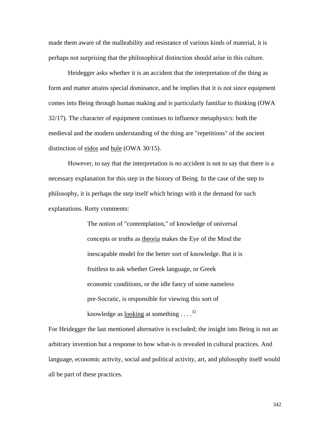made them aware of the malleability and resistance of various kinds of material, it is perhaps not surprising that the philosophical distinction should arise in this culture.

 Heidegger asks whether it is an accident that the interpretation of the thing as form and matter attains special dominance, and he implies that it is not since equipment comes into Being through human making and is particularly familiar to thinking (OWA 32/17). The character of equipment continues to influence metaphysics: both the medieval and the modern understanding of the thing are "repetitions" of the ancient distinction of eidos and hule (OWA 30/15).

 However, to say that the interpretation is no accident is not to say that there is a necessary explanation for this step in the history of Being. In the case of the step to philosophy, it is perhaps the step itself which brings with it the demand for such explanations. Rorty comments:

> The notion of "contemplation," of knowledge of universal concepts or truths as theoria makes the Eye of the Mind the inescapable model for the better sort of knowledge. But it is fruitless to ask whether Greek language, or Greek economic conditions, or the idle fancy of some nameless pre-Socratic, is responsible for viewing this sort of knowledge as <u>looking</u> at something  $\ldots$ <sup>32</sup>

For Heidegger the last mentioned alternative is excluded; the insight into Being is not an arbitrary invention but a response to how what-is is revealed in cultural practices. And language, economic activity, social and political activity, art, and philosophy itself would all be part of these practices.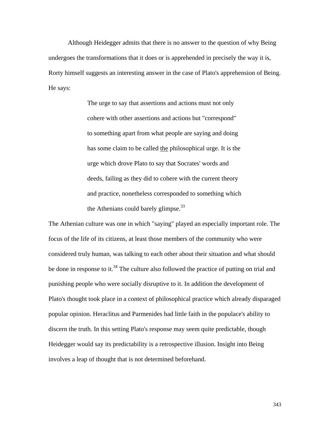Although Heidegger admits that there is no answer to the question of why Being undergoes the transformations that it does or is apprehended in precisely the way it is, Rorty himself suggests an interesting answer in the case of Plato's apprehension of Being. He says:

> The urge to say that assertions and actions must not only cohere with other assertions and actions but "correspond" to something apart from what people are saying and doing has some claim to be called the philosophical urge. It is the urge which drove Plato to say that Socrates' words and deeds, failing as they did to cohere with the current theory and practice, nonetheless corresponded to something which the Athenians could barely glimpse. $33$

The Athenian culture was one in which "saying" played an especially important role. The focus of the life of its citizens, at least those members of the community who were considered truly human, was talking to each other about their situation and what should be done in response to it.<sup>34</sup> The culture also followed the practice of putting on trial and punishing people who were socially disruptive to it. In addition the development of Plato's thought took place in a context of philosophical practice which already disparaged popular opinion. Heraclitus and Parmenides had little faith in the populace's ability to discern the truth. In this setting Plato's response may seem quite predictable, though Heidegger would say its predictability is a retrospective illusion. Insight into Being involves a leap of thought that is not determined beforehand.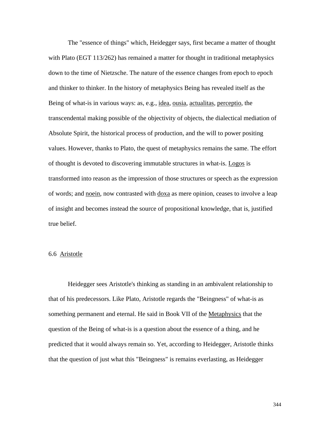The "essence of things" which, Heidegger says, first became a matter of thought with Plato (EGT 113/262) has remained a matter for thought in traditional metaphysics down to the time of Nietzsche. The nature of the essence changes from epoch to epoch and thinker to thinker. In the history of metaphysics Being has revealed itself as the Being of what-is in various ways: as, e.g., idea, ousia, actualitas, perceptio, the transcendental making possible of the objectivity of objects, the dialectical mediation of Absolute Spirit, the historical process of production, and the will to power positing values. However, thanks to Plato, the quest of metaphysics remains the same. The effort of thought is devoted to discovering immutable structures in what-is. Logos is transformed into reason as the impression of those structures or speech as the expression of words; and noein, now contrasted with doxa as mere opinion, ceases to involve a leap of insight and becomes instead the source of propositional knowledge, that is, justified true belief.

# 6.6 Aristotle

 Heidegger sees Aristotle's thinking as standing in an ambivalent relationship to that of his predecessors. Like Plato, Aristotle regards the "Beingness" of what-is as something permanent and eternal. He said in Book VII of the Metaphysics that the question of the Being of what-is is a question about the essence of a thing, and he predicted that it would always remain so. Yet, according to Heidegger, Aristotle thinks that the question of just what this "Beingness" is remains everlasting, as Heidegger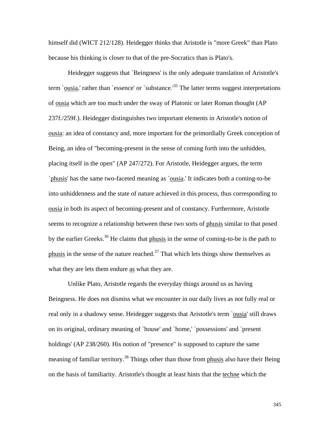himself did (WICT 212/128). Heidegger thinks that Aristotle is "more Greek" than Plato because his thinking is closer to that of the pre-Socratics than is Plato's.

 Heidegger suggests that `Beingness' is the only adequate translation of Aristotle's term `<u>ousia</u>,' rather than `essence' or `substance.<sup>'35</sup> The latter terms suggest interpretations of ousia which are too much under the sway of Platonic or later Roman thought (AP 237f./259f.). Heidegger distinguishes two important elements in Aristotle's notion of ousia: an idea of constancy and, more important for the primordially Greek conception of Being, an idea of "becoming-present in the sense of coming forth into the unhidden, placing itself in the open" (AP 247/272). For Aristotle, Heidegger argues, the term `phusis' has the same two-faceted meaning as `ousia.' It indicates both a coming-to-be into unhiddenness and the state of nature achieved in this process, thus corresponding to ousia in both its aspect of becoming-present and of constancy. Furthermore, Aristotle seems to recognize a relationship between these two sorts of phusis similar to that posed by the earlier Greeks.<sup>36</sup> He claims that phusis in the sense of coming-to-be is the path to phusis in the sense of the nature reached.<sup>37</sup> That which lets things show themselves as what they are lets them endure as what they are.

 Unlike Plato, Aristotle regards the everyday things around us as having Beingness. He does not dismiss what we encounter in our daily lives as not fully real or real only in a shadowy sense. Heidegger suggests that Aristotle's term `ousia' still draws on its original, ordinary meaning of `house' and `home,' `possessions' and `present holdings' (AP 238/260). His notion of "presence" is supposed to capture the same meaning of familiar territory.<sup>38</sup> Things other than those from phusis also have their Being on the basis of familiarity. Aristotle's thought at least hints that the techne which the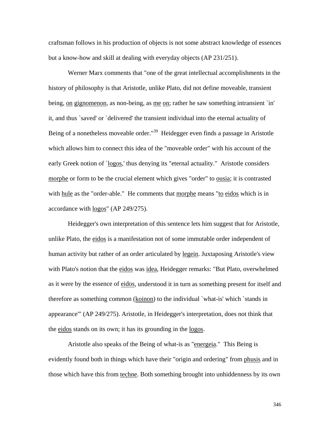craftsman follows in his production of objects is not some abstract knowledge of essences but a know-how and skill at dealing with everyday objects (AP 231/251).

 Werner Marx comments that "one of the great intellectual accomplishments in the history of philosophy is that Aristotle, unlike Plato, did not define moveable, transient being, on gignomenon, as non-being, as me on; rather he saw something intransient `in' it, and thus `saved' or `delivered' the transient individual into the eternal actuality of Being of a nonetheless moveable order."<sup>39</sup> Heidegger even finds a passage in Aristotle which allows him to connect this idea of the "moveable order" with his account of the early Greek notion of `logos,' thus denying its "eternal actuality." Aristotle considers morphe or form to be the crucial element which gives "order" to ousia; it is contrasted with hule as the "order-able." He comments that morphe means "to eidos which is in accordance with logos" (AP 249/275).

 Heidegger's own interpretation of this sentence lets him suggest that for Aristotle, unlike Plato, the eidos is a manifestation not of some immutable order independent of human activity but rather of an order articulated by legein. Juxtaposing Aristotle's view with Plato's notion that the eidos was idea, Heidegger remarks: "But Plato, overwhelmed as it were by the essence of eidos, understood it in turn as something present for itself and therefore as something common (koinon) to the individual `what-is' which `stands in appearance'" (AP 249/275). Aristotle, in Heidegger's interpretation, does not think that the eidos stands on its own; it has its grounding in the logos.

 Aristotle also speaks of the Being of what-is as "energeia." This Being is evidently found both in things which have their "origin and ordering" from phusis and in those which have this from techne. Both something brought into unhiddenness by its own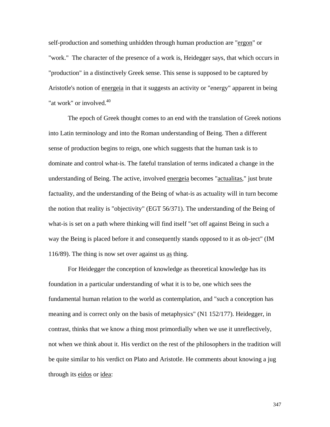self-production and something unhidden through human production are "ergon" or "work." The character of the presence of a work is, Heidegger says, that which occurs in "production" in a distinctively Greek sense. This sense is supposed to be captured by Aristotle's notion of energeia in that it suggests an activity or "energy" apparent in being "at work" or involved.<sup>40</sup>

 The epoch of Greek thought comes to an end with the translation of Greek notions into Latin terminology and into the Roman understanding of Being. Then a different sense of production begins to reign, one which suggests that the human task is to dominate and control what-is. The fateful translation of terms indicated a change in the understanding of Being. The active, involved energeia becomes "actualitas," just brute factuality, and the understanding of the Being of what-is as actuality will in turn become the notion that reality is "objectivity" (EGT 56/371). The understanding of the Being of what-is is set on a path where thinking will find itself "set off against Being in such a way the Being is placed before it and consequently stands opposed to it as ob-ject" (IM 116/89). The thing is now set over against us as thing.

 For Heidegger the conception of knowledge as theoretical knowledge has its foundation in a particular understanding of what it is to be, one which sees the fundamental human relation to the world as contemplation, and "such a conception has meaning and is correct only on the basis of metaphysics" (N1 152/177). Heidegger, in contrast, thinks that we know a thing most primordially when we use it unreflectively, not when we think about it. His verdict on the rest of the philosophers in the tradition will be quite similar to his verdict on Plato and Aristotle. He comments about knowing a jug through its eidos or idea: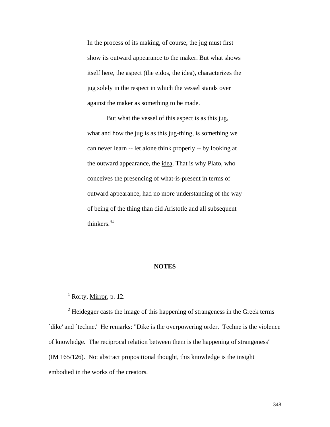In the process of its making, of course, the jug must first show its outward appearance to the maker. But what shows itself here, the aspect (the eidos, the idea), characterizes the jug solely in the respect in which the vessel stands over against the maker as something to be made.

But what the vessel of this aspect is as this jug, what and how the jug is as this jug-thing, is something we can never learn -- let alone think properly -- by looking at the outward appearance, the idea. That is why Plato, who conceives the presencing of what-is-present in terms of outward appearance, had no more understanding of the way of being of the thing than did Aristotle and all subsequent thinkers. $41$ 

## **NOTES**

 $<sup>1</sup>$  Rorty, <u>Mirror</u>, p. 12.</sup>

 $\overline{a}$ 

 $2<sup>2</sup>$  Heidegger casts the image of this happening of strangeness in the Greek terms `dike' and `techne.' He remarks: "Dike is the overpowering order. Techne is the violence of knowledge. The reciprocal relation between them is the happening of strangeness" (IM 165/126). Not abstract propositional thought, this knowledge is the insight embodied in the works of the creators.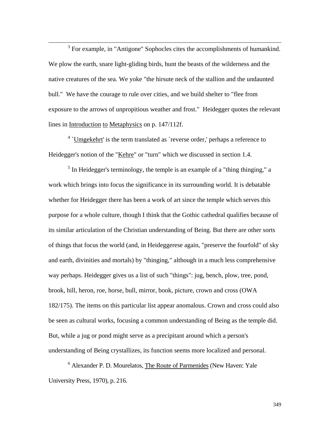$\frac{1}{3}$  $3$  For example, in "Antigone" Sophocles cites the accomplishments of humankind. We plow the earth, snare light-gliding birds, hunt the beasts of the wilderness and the native creatures of the sea. We yoke "the hirsute neck of the stallion and the undaunted bull." We have the courage to rule over cities, and we build shelter to "flee from exposure to the arrows of unpropitious weather and frost." Heidegger quotes the relevant lines in Introduction to Metaphysics on p. 147/112f.

 $4 \cdot \underbrace{\text{Umgekehrt}}$  is the term translated as `reverse order,' perhaps a reference to Heidegger's notion of the "Kehre" or "turn" which we discussed in section 1.4.

 $<sup>5</sup>$  In Heidegger's terminology, the temple is an example of a "thing thinging," a</sup> work which brings into focus the significance in its surrounding world. It is debatable whether for Heidegger there has been a work of art since the temple which serves this purpose for a whole culture, though I think that the Gothic cathedral qualifies because of its similar articulation of the Christian understanding of Being. But there are other sorts of things that focus the world (and, in Heideggerese again, "preserve the fourfold" of sky and earth, divinities and mortals) by "thinging," although in a much less comprehensive way perhaps. Heidegger gives us a list of such "things": jug, bench, plow, tree, pond, brook, hill, heron, roe, horse, bull, mirror, book, picture, crown and cross (OWA 182/175). The items on this particular list appear anomalous. Crown and cross could also be seen as cultural works, focusing a common understanding of Being as the temple did. But, while a jug or pond might serve as a precipitant around which a person's understanding of Being crystallizes, its function seems more localized and personal.

<sup>6</sup> Alexander P. D. Mourelatos, The Route of Parmenides (New Haven: Yale University Press, 1970), p. 216.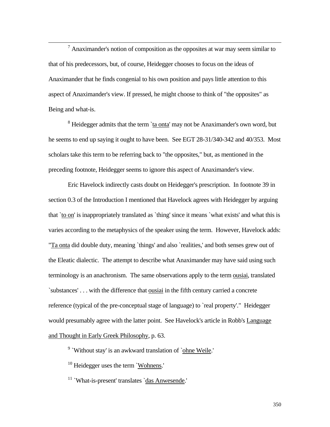7  $\alpha$ <sup>7</sup> Anaximander's notion of composition as the opposites at war may seem similar to that of his predecessors, but, of course, Heidegger chooses to focus on the ideas of Anaximander that he finds congenial to his own position and pays little attention to this aspect of Anaximander's view. If pressed, he might choose to think of "the opposites" as Being and what-is.

 $8$  Heidegger admits that the term `ta onta' may not be Anaximander's own word, but he seems to end up saying it ought to have been. See EGT 28-31/340-342 and 40/353. Most scholars take this term to be referring back to "the opposites," but, as mentioned in the preceding footnote, Heidegger seems to ignore this aspect of Anaximander's view.

 Eric Havelock indirectly casts doubt on Heidegger's prescription. In footnote 39 in section 0.3 of the Introduction I mentioned that Havelock agrees with Heidegger by arguing that `to on' is inappropriately translated as `thing' since it means `what exists' and what this is varies according to the metaphysics of the speaker using the term. However, Havelock adds: "Ta onta did double duty, meaning `things' and also `realities,' and both senses grew out of the Eleatic dialectic. The attempt to describe what Anaximander may have said using such terminology is an anachronism. The same observations apply to the term ousiai, translated `substances' . . . with the difference that ousiai in the fifth century carried a concrete reference (typical of the pre-conceptual stage of language) to `real property'." Heidegger would presumably agree with the latter point. See Havelock's article in Robb's Language and Thought in Early Greek Philosophy, p. 63.

<sup>9</sup> `Without stay' is an awkward translation of `ohne Weile.'

 $10$  Heidegger uses the term `Wohnens.'

<sup>11</sup> `What-is-present' translates `das Anwesende.'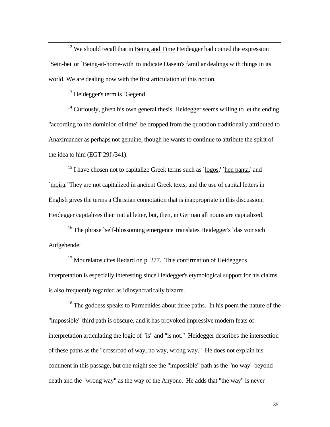<sup>12</sup> We should recall that in Being and Time Heidegger had coined the expression `Sein-bei' or `Being-at-home-with' to indicate Dasein's familiar dealings with things in its world. We are dealing now with the first articulation of this notion.

 $13$  Heidegger's term is `Gegend.'

 $14$  Curiously, given his own general thesis, Heidegger seems willing to let the ending "according to the dominion of time" be dropped from the quotation traditionally attributed to Anaximander as perhaps not genuine, though he wants to continue to attribute the spirit of the idea to him (EGT 29f./341).

 $15$  I have chosen not to capitalize Greek terms such as  $\log$ os,  $\ln$  hen panta,' and `moira.' They are not capitalized in ancient Greek texts, and the use of capital letters in English gives the terms a Christian connotation that is inappropriate in this discussion. Heidegger capitalizes their initial letter, but, then, in German all nouns are capitalized.

<sup>16</sup> The phrase `self-blossoming emergence' translates Heidegger's `das von sich Aufgehende.'

<sup>17</sup> Mourelatos cites Redard on p. 277. This confirmation of Heidegger's interpretation is especially interesting since Heidegger's etymological support for his claims is also frequently regarded as idiosyncratically bizarre.

<sup>18</sup> The goddess speaks to Parmenides about three paths. In his poem the nature of the "impossible" third path is obscure, and it has provoked impressive modern feats of interpretation articulating the logic of "is" and "is not." Heidegger describes the intersection of these paths as the "crossroad of way, no way, wrong way." He does not explain his comment in this passage, but one might see the "impossible" path as the "no way" beyond death and the "wrong way" as the way of the Anyone. He adds that "the way" is never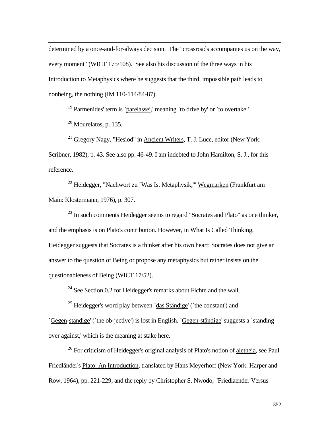determined by a once-and-for-always decision. The "crossroads accompanies us on the way, every moment" (WICT 175/108). See also his discussion of the three ways in his Introduction to Metaphysics where he suggests that the third, impossible path leads to nonbeing, the nothing (IM 110-114/84-87).

<sup>19</sup> Parmenides' term is `parelassei,' meaning `to drive by' or `to overtake.'

 $20$  Mourelatos, p. 135.

 $\overline{a}$ 

 $21$  Gregory Nagy, "Hesiod" in Ancient Writers, T. J. Luce, editor (New York: Scribner, 1982), p. 43. See also pp. 46-49. I am indebted to John Hamilton, S. J., for this reference.

22 Heidegger, "Nachwort zu `Was Ist Metaphysik,'" Wegmarken (Frankfurt am Main: Klostermann, 1976), p. 307.

<sup>23</sup> In such comments Heidegger seems to regard "Socrates and Plato" as one thinker, and the emphasis is on Plato's contribution. However, in What Is Called Thinking, Heidegger suggests that Socrates is a thinker after his own heart: Socrates does not give an answer to the question of Being or propose any metaphysics but rather insists on the questionableness of Being (WICT 17/52).

<sup>24</sup> See Section 0.2 for Heidegger's remarks about Fichte and the wall.

<sup>25</sup> Heidegger's word play between `das Ständige' (`the constant') and `Gegen-ständige' (`the ob-jective') is lost in English. `Gegen-ständige' suggests a `standing over against,' which is the meaning at stake here.

<sup>26</sup> For criticism of Heidegger's original analysis of Plato's notion of aletheia, see Paul Friedländer's Plato: An Introduction, translated by Hans Meyerhoff (New York: Harper and Row, 1964), pp. 221-229, and the reply by Christopher S. Nwodo, "Friedlaender Versus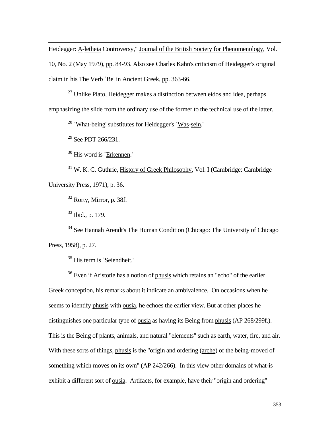Heidegger: A-letheia Controversy," Journal of the British Society for Phenomenology, Vol. 10, No. 2 (May 1979), pp. 84-93. Also see Charles Kahn's criticism of Heidegger's original claim in his The Verb `Be' in Ancient Greek, pp. 363-66.

 $27$  Unlike Plato, Heidegger makes a distinction between eidos and idea, perhaps emphasizing the slide from the ordinary use of the former to the technical use of the latter.

28 `What-being' substitutes for Heidegger's `Was-sein.'

 $29$  See PDT 266/231.

 $\overline{a}$ 

<sup>30</sup> His word is `Erkennen.'

 $31$  W. K. C. Guthrie, History of Greek Philosophy, Vol. I (Cambridge: Cambridge) University Press, 1971), p. 36.

32 Rorty, Mirror, p. 38f.

33 Ibid., p. 179.

<sup>34</sup> See Hannah Arendt's The Human Condition (Chicago: The University of Chicago Press, 1958), p. 27.

<sup>35</sup> His term is `Seiendheit.'

36 Even if Aristotle has a notion of phusis which retains an "echo" of the earlier Greek conception, his remarks about it indicate an ambivalence. On occasions when he seems to identify phusis with ousia, he echoes the earlier view. But at other places he distinguishes one particular type of ousia as having its Being from phusis (AP 268/299f.). This is the Being of plants, animals, and natural "elements" such as earth, water, fire, and air. With these sorts of things, phusis is the "origin and ordering (arche) of the being-moved of something which moves on its own" (AP 242/266). In this view other domains of what-is exhibit a different sort of ousia. Artifacts, for example, have their "origin and ordering"